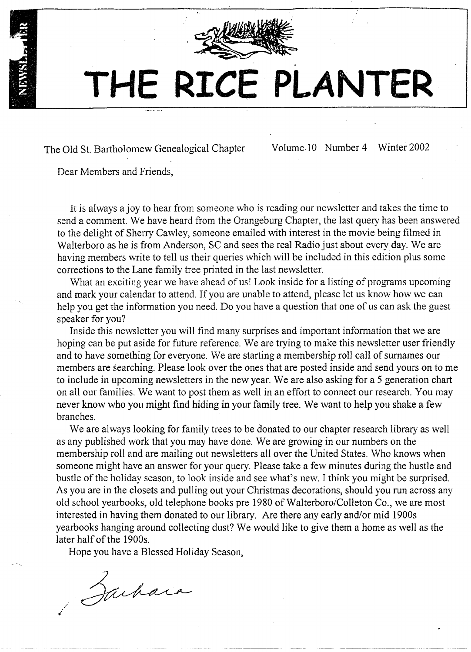

# **THE RICE PLANTER**

The Old St. Bartholomew Genealogical Chapter

Volume.lO Number 4 Winter 2002

Dear Members and Friends,

It is always ajoy to hear from someone who is reading our newsletter and takes the time to send a comment. We have heard from the Orangeburg Chapter, the last query has been answered to the delight of Sherry Cawley, someone emailed with interest in the movie being filmed in Walterboro as he is from Anderson, SC and sees the real Radio just about every day. We are having members write to tell us their queries which will be included in this edition plus some corrections to the Lane family tree printed in the last newsletter.

What an exciting year we have ahead of us! Look inside for a listing of programs upcoming and mark your calendar to attend. If you are unable to attend, please let us know how we can help you get the information you need. Do you have a question that one of us can ask the guest speaker for you?

Inside this newsletter you will find many surprises and important information that we are hoping can be put aside for future reference. We are trying to make this newsletter user friendly and to have something for everyone. We are starting a membership roll call of surnames our members are searching. Please look over the ones that are posted inside and send yours on to me to include in upcoming newsletters in the new year. We are also asking for a 5 generation chart on all our families. We want to post them as well in an effort to connect our research. You may never know who you might find hiding in your family tree. We want to help you shake a few branches.

We are always looking for family trees to be donated to our chapter research library as well as any published work that you may have done. We are growing in our numbers on the membership roll and are mailing out newsletters all over the United States. Who knows when someone might have an answer for your query. Please take a few minutes during the hustle and bustle of the holiday season, to look inside and see what's new. I think you might be surprised. As you are in the closets and pulling out your Christmas decorations, should you run across any old school yearbooks, old telephone books pre 1980 of Walterboro/Colleton Co., we are most interested in having them donated to our library. Are there any early and/or mid 1900s yearbooks hanging around collecting dust? We would like to give them a home as well as the later half of the 1900s.

Hope you have a Blessed Holiday Season,

Sachara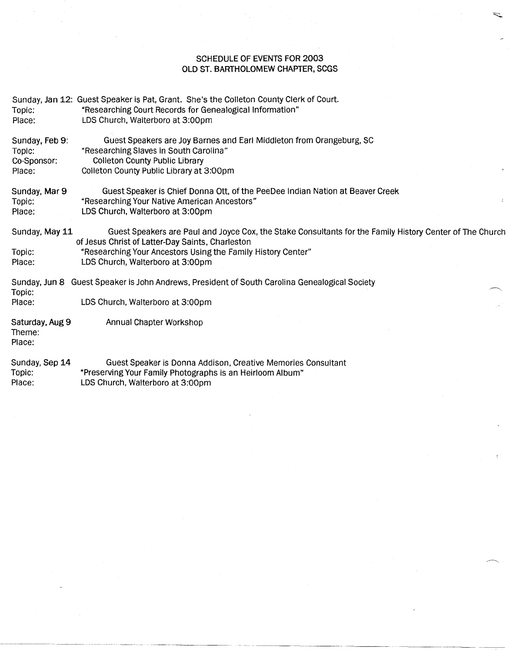#### SCHEDULE OF EVENTS FOR 2003 OLD ST. BARTHOLOMEW CHAPTER, SCGS

| Topic:<br>Place:                        | Sunday, Jan 12: Guest Speaker is Pat, Grant. She's the Colleton County Clerk of Court.<br>"Researching Court Records for Genealogical Information"<br>LDS Church, Walterboro at 3:00pm |
|-----------------------------------------|----------------------------------------------------------------------------------------------------------------------------------------------------------------------------------------|
| Sunday, Feb 9:<br>Topic:<br>Co-Sponsor: | Guest Speakers are Joy Barnes and Earl Middleton from Orangeburg, SC<br>"Researching Slaves in South Carolina"<br><b>Colleton County Public Library</b>                                |
| Place:                                  | Colleton County Public Library at 3:00pm                                                                                                                                               |
| Sunday, Mar 9<br>Topic:<br>Place:       | Guest Speaker is Chief Donna Ott, of the PeeDee Indian Nation at Beaver Creek<br>"Researching Your Native American Ancestors"<br>Ł.<br>LDS Church, Walterboro at 3:00pm                |
| Sunday, May 11                          | Guest Speakers are Paul and Joyce Cox, the Stake Consultants for the Family History Center of The Church<br>of Jesus Christ of Latter-Day Saints, Charleston                           |
| Topic:<br>Place:                        | "Researching Your Ancestors Using the Family History Center"<br>LDS Church, Walterboro at 3:00pm                                                                                       |
| Topic:                                  | Sunday, Jun 8 Guest Speaker is John Andrews, President of South Carolina Genealogical Society                                                                                          |
| Place:                                  | LDS Church, Walterboro at 3:00pm                                                                                                                                                       |
| Saturday, Aug 9<br>Theme:<br>Place:     | Annual Chapter Workshop                                                                                                                                                                |
| Sunday, Sep 14                          | Guest Speaker is Donna Addison. Creative Memories Consultant                                                                                                                           |

Sunday, Sep 14 Topic: Place: Guest Speaker is Donna Addison, Creative Memories Consultant "Preserving Your Family Photographs is an Heirloom Album" LOSChurch, Walterboro at 3:00pm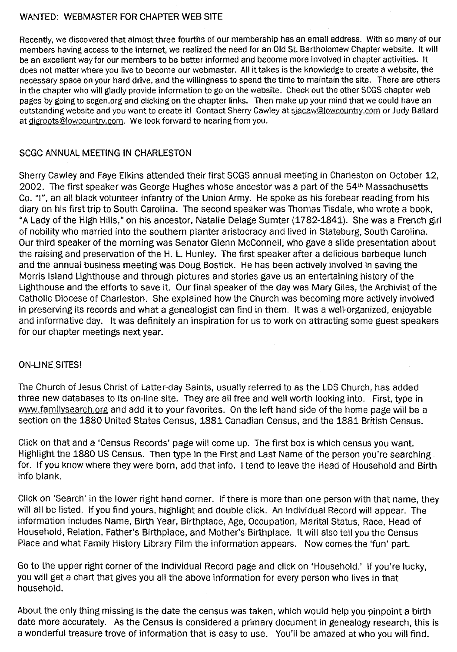#### WANTED: WEBMASTER FOR CHAPTER WEB SITE

Recently, we discovered that almost three fourths of our membership has an email address. With so many of our members having access to the internet, we realized the need for an Old St. Bartholomew Chapter website. It will be an excellent way for our members to be better informed and become more involved in chapter activities. It does not matter where you live to become our webmaster. All it takes is the knowledge to create a website, the necessary space on your hard drive, and the willingness to spend the time to maintain the site. There are others in the chapter who will gladly provide information to go on the website. Check out the other SCGS chapter web pages by going to scgen.org and clicking on the chapter links. Then make up your mind that we could have an outstanding website and you want to create it! Contact Sherry Cawley at sigcaw@Jowcountry.com or Judy Ballard at digroots@lowcountry.com. We look forward to hearing from you.

#### SCGC ANNUAL MEETING IN CHARLESTON

Sherry Cawley and Faye Elkins attended their first SCGS annual meeting in Charleston on October 12, 2002. The first speaker was George Hughes whose ancestor was a part of the 54th Massachusetts Co. "I", an all black volunteer infantry of the Union Army. He spoke as his forebear reading from his diary on his first trip to South Carolina. The second speaker was Thomas Tisdale, who wrote a book, "A Lady of the High Hills," on his ancestor, Natalie Delage Sumter (1782-1841). She was a French girl of nobility who married into the southern planter aristocracy and lived in Stateburg, South Carolina. Our third speaker of the morning was Senator Glenn McConnell, who gave a slide presentation about the raising and preservation of the H. L. Hunley. The first speaker after a delicious barbeque lunch and the annual business meeting was Doug Bostick. He has been actively involved in saving the Morris Island Lighthouse and through pictures and stories gave us an entertaining history of the Lighthouse and the efforts to save it. Our final speaker of the day was Mary Giles, the Archivist of the Catholic Diocese of Charleston. She explained how the Church was becoming more actively involved in preserving its records and what a genealogist can find in them. It was a well-organized, enjoyable and informative day. It was definitely an inspiration for us to work on attracting some guest speakers for our chapter meetings next year.

#### ON-LINE SITES!

The Church of Jesus Christ of Latter-day Saints, usually referred to as the LDS Church, has added three new databases to its on-line site. They are all free and well worth looking into. First, type in www.familysearch.org and add it to your favorites. On the left hand side of the home page will be a section on the 1880 United States Census, 1881 Canadian Census, and the 1881 British Census.

Click on that and a 'Census Records' page will come up. The first box is which census you want. Highlight the 1880 US Census. Then type in the First and Last Name of the person you're searching for. If you know where they were born, add that info. I tend to leave the Head of Household and Birth info blank.

Click on 'Search' in the lower right hand corner. If there is more than one person with that name, they will all be listed. If you find yours, highlight and double click. An Individual Record will appear. The information includes Name, Birth Year, Birthplace, Age, Occupation, Marital Status, Race, Head of Household, Relation, Father's Birthplace, and Mother's Birthplace. It will also tell you the Census Place and what Family History Library Film the information appears. Now comes the 'fun' part.

Go to the upper right corner of the Individual Record page and click on 'Household.' If you're lucky, you will get a chart that gives you all the above information for every person who lives in that household.

About the only thing missing is the date the census was taken, which would help you pinpoint a birth date more accurately. As the Census is considered a primary document in genealogy research, this is a wonderful treasure trove of information that is easy to use. You'll be amazed at who you will find.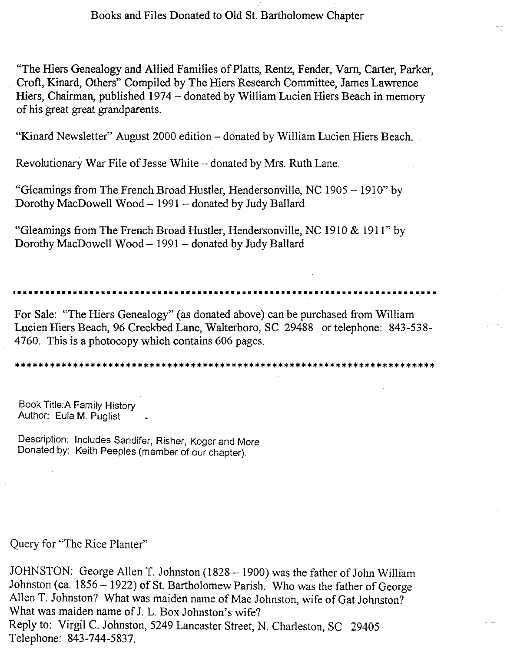"The Hiers Genealogy and Allied Families of Platts, Rentz, Fender, Yarn, Carter, Parker, Croft, Kinard, Others" Compiled by The Hiers Research Committee, James Lawrence Hiers, Chairman, published 1974 - donated by William Lucien Hiers Beach in memory of his great great grandparents.

"Kinard Newsletter" August 2000 edition - donated by William Lucien Hiers Beach.

Revolutionary War File of Jesse White - donated by Mrs. Ruth Lane.

"Gleamings from The French Broad Hustler, Hendersonville, NC 1905 - 1910" by Dorothy MacDowell Wood - 1991 - donated by Judy Ballard

"Gleamings from The French Broad Hustler, Hendersonville, NC 1910 & 1911" by Dorothy MacDowell Wood - 1991- donated by Judy Ballard

**••••••••••••••••••••••••••••••••••••••••••••••••••••••••••••••••••••••••••••**

For Sale: "The Hiers Genealogy" (as donated above) can be purchased from William Lucien Hiers Beach, 96 Creekbed Lane, Walterboro, SC 29488 or telephone: 843-538- 4760. This is a photocopy which contains 606 pages.

\*\*\*\*\*\*\*\*\*\*\*\*\*\*\*\*\*\*\*\*\*\*\*\*\*\*\*\*\*\*\*\*\*\*\*\*\*\*\*\*\*\*\*\*\*\*\*\*\*\*\*\*\*\*\*\*\*\*\*\*\*\*\*\*\*\*\*\*\*\*\*\*

Book Title:A Family History Author: Eula M. Puglist

Description: Includes Sandifer, Risher, Koger and More Donated by: Keith Peeples (member of our chapter).

Query for "The Rice Planter"

JOHNSTON: George Allen T. Johnston (1828 - 1900) was the father of John William Johnston (ca. 1856 - 1922) of St. Bartholomew Parish. Who was the father of George Allen T. Johnston? What was maiden name of Mae Johnston, wife of Gat Johnston? What was maiden name of J. L. Box Johnston's wife? Reply to: Virgil C. Johnston, 5249 Lancaster Street, N. Charleston, SC 29405 Telephone: 843-744-5837.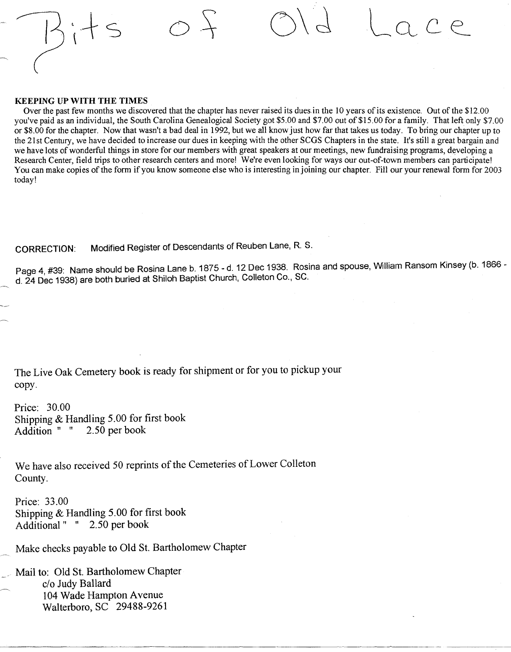#### KEEPING UP WITH THE TIMES

Over the past few months we discovered that the chapter has never raised its dues in the 10 years of its existence. Out of the \$12.00 you've paid as an individual, the South Carolina Genealogical Society got \$5.00 and \$7.00 out of \$15.00 for a family. That left *only \$7.00* or \$8.00 for the chapter. Now that wasn't a bad deal in 1992, but we all know just how far that takes us today. To bring our chapter up to the 21 st Century, we have decided to increase our dues in keeping with the other SCGS Chapters in the state. It's still a great bargain and we have lots of wonderful things in store for our members with great speakers at our meetings, new fundraising programs, developing a Research Center, field trips to other research centers and more! We're even looking for ways our out-of-town members can participate! You can make copies of the form if you know someone else who is interesting in joining our chapter. Fill our your renewal form for 2003 today!

oS; O\d

CORRECTION: Modified Register of Descendants of Reuben Lane, R. S.

Page 4, #39: Name should be Rosina Lane b. 1875 - d. 12 Dec 1938. Rosina and spouse, William Ransom Kinsey (b. 1866 d. 24 Dec 1938) are both buried at ShIloh Baptist Church, Colleton Co., SC.

----------- ----\_.\_---\_.-

The Live Oak Cemetery book is ready for shipment or for you to pickup your copy.

Price: 30.00 Shipping & Handling 5.00 for first book<br>Addition " " 2.50 per book Addition " "

We have also received 50 reprints of the Cemeteries of Lower Colleton County.

Price: 33.00 Shipping & Handling 5.00 for first book Additional" " 2.50 per book

Make checks payable to Old St. Bartholomew Chapter

Mail to: Old St. Bartholomew Chapter c/o Judy Ballard 104 Wade Hampton Avenue Walterboro, SC 29488-9261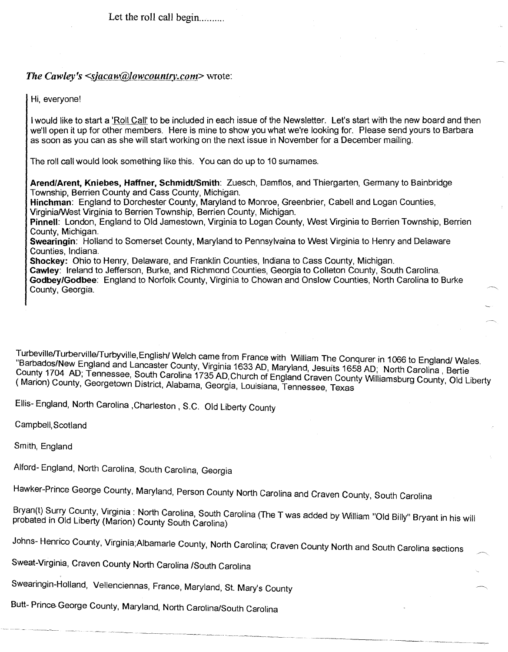Let the roll call begin ..........

#### The Cawley's  $\leq$ sjacaw@lowcountry.com> wrote:

Hi, everyone!

I would like to start a 'Roll Call' to be included in each issue of the Newsletter. Let's start with the new board and then we'll open it up for other members. Here is mine to show you what we're looking for. Please send yours to Barbara as soon as you can as she will start working on the next issue in November for a December mailing.

The roll call would look something like this. You can do up to 10 surnames.

Arend/Arent, Kniebes, Haffner, Schmidt/Smith: Zuesch, Damflos, and Thiergarten, Germany to Bainbridge Township, Berrien County and Cass County, Michigan.

Hinchman: England to Dorchester County, Maryland to Monroe, Greenbrier, Cabell and Logan Counties, VirginialWest Virginia to Berrien Township, Berrien County, Michigan.

Pinnell: London, England to Old Jamestown, Virginia to Logan County, West Virginia to Berrien Township, Berrien County, Michigan.

Swearingin: Holland to Somerset County, Maryland to Pennsylvaina to West Virginia to Henry and Delaware Counties, Indiana.

Shockey: Ohio to Henry, Delaware, and Franklin Counties, Indiana to Cass County, Michigan.

Cawley: Ireland to Jefferson, Burke, and Richmond Counties, Georgia to Colleton County, South Carolina. Godbey/Godbee: England to Norfolk County, Virginia to Chowan and Onslow Counties, North Carolina to Burke County, Georgia.

Turbeville/Turberville/Turbyville, English/ Welch came from France with William The Conqurer in 1066 to England/ Wales.<br>"Barbados/New England and Lancaster County, Virginia 1633 AD, Maryland, Jesuits 1658 AD; North Carolin County 1704 AD; Tennessee, South Carolina 1735 AD, Church of England Craven County Williamsburg County, Old Liberty ( Marion) County, Georgetown District, Alabama, Georgia, Louisiana, Tennessee, Texas

Ellis- England, North Carolina ,Charleston, S.C. Old Liberty County

Campbell, Scotland

Smith, England

Alford- England, North Carolina, South Carolina, Georgia

Hawker-Prince George County, Maryland, Person County North Carolina and Craven County, South Carolina

Bryan(t) Surry County, Virginia : North Carolina, South Carolina (The T was added by William "Old Billy" Bryant in his will probated in Old Liberty (Marion) County South Carolina)

Johns- Henrico County, Virginia;Albamarle County, North Carolina; Craven County North and South Carolina sections

Sweat-Virginia, Craven County North Carolina ISouth Carolina

Swearingin-Holland, Vellenciennas, France, Maryland, St. Mary's County

Butt- Prince George County, Maryland, North Carolina/South Carolina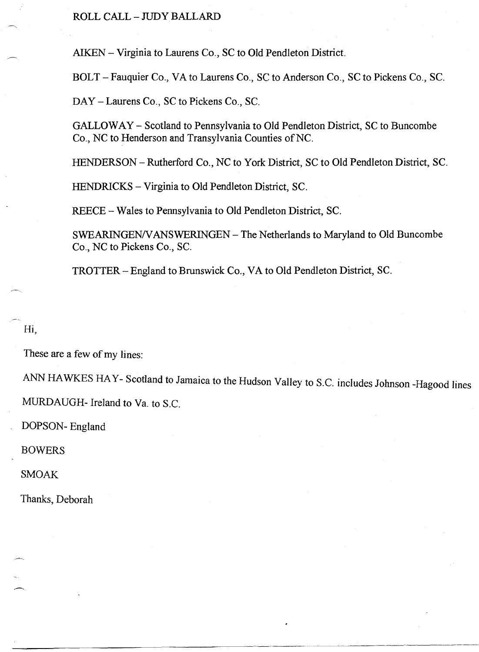ROLL CALL - JUDy BALLARD

AIKEN - Virginia to Laurens Co., SC to Old Pendleton District.

BOLT - Fauquier Co., VA to Laurens Co., SC to Anderson Co., SC to Pickens Co., Sc.

DAY - Laurens Co., SC to Pickens Co., SC.

GALLOWAY - Scotland to Pennsylvania to Old Pendleton District, SC to Buncombe Co., NC to Henderson and Transylvania Counties of NC.

HENDERSON - Rutherford Co., NC to York District, SC to Old Pendleton District, SC.

HENDRICKS - Virginia to Old Pendleton District, SC.

REECE - Wales to Pennsylvania to Old Pendleton District, SC.

SWEARINGENN ANSWERINGEN - The Netherlands to Maryland to Old Buncombe Co., NC to Pickens Co., SC.

TROTTER - England to Brunswick Co., VA to Old Pendleton District, SC.

Hi,

These are a few of my lines:

ANN HAWKES HA Y- Scotland to Jamaica to the Hudson Valley to S.C. includes Johnson -Hagood lines MURDAUGH- Ireland to Va. to S.C.

DOPSON- England

BOWERS

SMOAK

Thanks, Deborah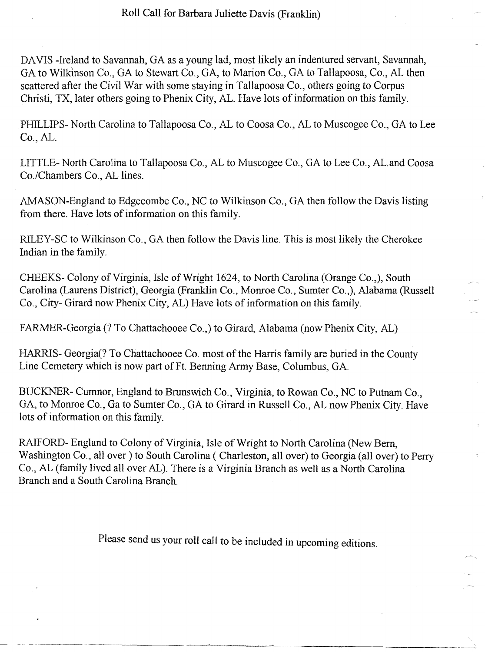DAVIS -Ireland to Savannah, GA as a young lad, most likely an indentured servant, Savannah, GA to Wilkinson Co., GA to Stewart Co., GA, to Marion Co., GA to Tallapoosa, Co., AL then scattered after the Civil War with some staying in Tallapoosa Co., others going to Corpus Christi, TX, later others going to Phenix City, AL. Have lots of information on this family.

PHILLIPS- North Carolina to Tallapoosa Co., AL to Coosa Co., AL to Muscogee Co., GA to Lee Co., AL.

LITTLE- North Carolina to Tallapoosa Co., AL to Muscogee Co., GA to Lee Co., AL.and Coosa Co./Chambers Co., AL lines.

AMASON-England to Edgecombe Co., NC to Wilkinson Co., GA then follow the Davis listing from there. Have lots of information on this family.

RILEY -SC to Wilkinson Co., GA then follow the Davis line. This is most likely the Cherokee Indian in the family.

CHEEKS- Colony of Virginia, Isle of Wright 1624, to North Carolina (Orange Co.,), South Carolina (Laurens District), Georgia (Franklin Co., Monroe Co., Sumter Co.,), Alabama (Russell Co., City- Girard now Phenix City, AL) Have lots of information on this family.

FARMER-Georgia (7 To Chattachooee Co.,) to Girard, Alabama (now Phenix City, AL)

HARRIS- Georgia(? To Chattachooee Co. most of the Harris family are buried in the County Line Cemetery which is now part of Ft. Benning Army Base, Columbus, GA.

BUCKNER- Cumnor, England to Brunswich Co., Virginia, to Rowan Co., NC to Putnam Co., GA, to Monroe Co., Ga to Sumter Co., GA to Girard in Russell Co., AL now Phenix City. Have lots of information on this family.

RAIFORD- England to Colony of Virginia, Isle of Wright to North Carolina (New Bern, Washington Co., all over) to South Carolina ( Charleston, all over) to Georgia (all over) to Perry Co., AL (family lived all over AL). There is a Virginia Branch as well as a North Carolina Branch and a South Carolina Branch.

Please send us your roll call to be included in upcoming editions.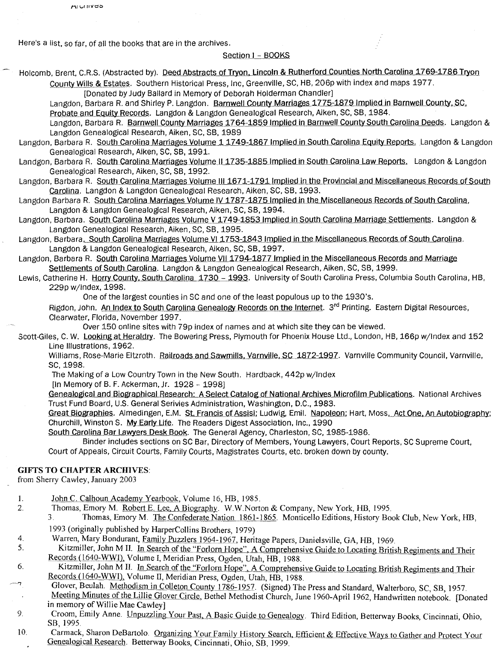Here's a list. so far. of all the books that are in the archives.

AIVINES

#### Section I - BOOKS

Holcomb, Brent, C.R.S. (Abstracted by). Deed Abstracts of Tryon, Lincoln & Rutherford Counties North Carolina 1769-1786 Tryon County Wills & Estates. Southern Historical Press, Inc. Greenville. SC. HB. 206p with index and maps 1977.

[Donated by Judy Ballard in Memory of Deborah Holderman Chandler]

Langdon, Barbara R. and Shirley P. Langdon. Barnwell County Marriages 1775-1879 Implied in Barnwell County, SC, Probate and Eguity Records. Langdon & Langdon Genealogical Research. Aiken. SC. SB. 1984.

Langdon, Barbara R. Barnwell County Marriages 1764-1859 Implied in Barnwell County South Carolina Deeds. Langdon & Langdon Genealogical Research. Aiken, SC. SB. 1989

- Langdon, Barbara R. South Carolina Marriages Volume 1 1749-1867 Implied in South Carolina Equity Reports. Langdon & Langdon Genealogical Research, Aiken, SC. SB, 1991.
- Landgon, Barbara R. South Carolina Marriages Volume II 1735-1885 Implied in South Carolina Law Reports. Langdon & Langdon Genealogical Research. Aiken, SC, SB, 1992.

Langdon, Barbara R. South Carolina Marriages Volume III 1671-1791 Implied in the Provincial and Miscellaneous Records of South carolina. Langdon & Langdon Genealogical Research. Aiken, SC, SB, 1993.

Langdon Barbara R. South Carolina Marriages Volume IV 1787-1875 Implied in the Miscellaneous Records of South Carolina, Langdon & Langdon Genealogical Research, Aiken, SC. SB. 1994.

Langdon, Barbara. South Carolina Marriages Volume V 1749-1853 Implied in South Carolina Marriage Settlements. Langdon & Langdon Genealogical Research. Aiken, SC, SB, 1995.

Langdon, Barbara. South Carolina Marriages Volume VI 1753-1843 Implied in the Miscellaneous Records of South Carolina. Langdon & Langdon Genealogical Research, Aiken, SC, SB,1997.

- Langdon. Barbara R. South Carolina Marriages Volume VII 1794-1877 Implied in the Miscellaneous Records and Marriage Settlements of South Carolina. Langdon & Langdon Genealogical Research, Aiken, SC, SB, 1999.
- Lewis, Catherine H. Horry County, South Carolina 1730 1993. University of South Carolina Press, Columbia South Carolina, HB, 229p w/lndex. 1998.

One of the largest counties in SC and one of the least populous up to the 1930's.

Rigdon, John. An Index to South Carolina Genealogy Records on the Internet. 3rd Printing. Eastern Digital Resources. Clearwater, Florida, November 1997.

Over 150 online sites with 79p index of names and at which site they can be viewed.

Scott-Giles, C. W. Looking at Heraldry. The Bowering Press, Plymouth for Phoenix House Ltd., London, HB, 166p w/Index and 152 Line Illustrations, 1962.

Williams, Rose-Marie Eltzroth. Railroads and Sawmills, Varnville, SC 1872-1997. Varnville Community Council, Varnville, SC,1998.

- The Making of a Low Country Town in the New South. Hardback, 442p w/lndex
- [In Memory of B. F. Ackerman, Jr. 1928 1998]

Genealogical and Biographical Research: A Select Catalog of National Archives Microfilm Publications. National Archives Trust Fund Board, U.S. General Serivies Administration, Washington, D.C., 1983.

Great Biographies. Almedingen, E.M. St. Francis of Assisi; Ludwig, Emil. Napoleon; Hart, Moss. Act One, An Autobiography; Churchill, Winston S. My Early Life. The Readers Digest Association, Inc., 1990

South Carolina Bar Lawyers Desk Book. The General Agency, Charleston, SC, 1985-1986.

Binder includes sections on SC Bar, Directory of Members. Young Lawyers. Court Reports. SCSupreme Court, Court of Appeals, Circuit Courts, Family Courts, Magistrates Courts, etc. broken down by county.

#### GIFTS TO CHAPTER ARCHIVES:

from Sherry Cawley, January 2003

2.

4.

6.

- 1. John C. Calhoun Academy Yearbook, Volume 16, HB, 1985.
	- Thomas, Emory M. Robert E. Lee, A Biography. W.W.Norton & Company, New York, HB, 1995.<br>3. Thomas, Emory M. The Confederate Nation 1861-1865. Monticello Editions. History Bo.

3. Thomas, Emory M. The Confederate Nation 1861-1865. Monticello Editions, History Book Club, New York, HB,

- 1993 (originally published by HarperCollins Brothers, 1979)
- Warren, Mary Bondurant, Family Puzzlers 1964-1967, Heritage Papers, Danielsville, GA, HB, 1969.

5. Kitzmiller, John M II. In Search of the "Forlorn Hope", A Comprehensive Guide to Locating British Regiments and Their Records (1640-WWn, Volume I, Meridian Press, Ogden, Utah, HB, 1988.

Kitzmiller, John M II. In Search of the "Forlorn Hope", A Comprehensive Guide to Locating British Regiments and Their Records (1640-WWI), Volume II, Meridian Press, Ogden, Utah, HB, 1988.

Glover, Beulah. Methodism in Colleton County 1786-1957. (Signed) The Press and Standard, Walterboro, SC, SB, 1957.

Meeting Minutes of the Lillie Glover Circle, Bethel Methodist Church, June 1960-April 1962, Handwritten notebook. [Donated in memory of Willie Mae Cawley]

- 9. Croom, Emily Anne. Unpuzzling Your Past, A Basic Guide to Genealogy. Third Edition, Betterway Books, Cincinnati, Ohio, SB,1995.
- 10. Carmack, Sharon DeBartolo. Organizing Your Family History Search, Efficient & Effective Ways to Gather and Protect Your Genealogical Research. Betterway Books, Cincinnati, Ohio, SB, 1999.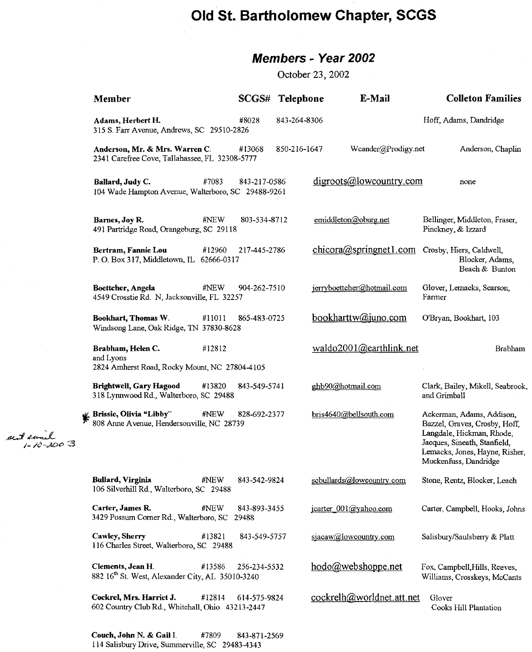# **Old St. Bartholomew Chapter, SCGS**

## **Members - Year 2002**

October 23,2002

| Member                                                                                        |              | SCGS# Telephone |                        | E-Mail                     | <b>Colleton Families</b>                                                                                                                                                           |  |
|-----------------------------------------------------------------------------------------------|--------------|-----------------|------------------------|----------------------------|------------------------------------------------------------------------------------------------------------------------------------------------------------------------------------|--|
| Adams, Herbert H.<br>315 S. Farr Avenue, Andrews, SC 29510-2826                               | #8028        | 843-264-8306    |                        |                            | Hoff, Adams, Dandridge                                                                                                                                                             |  |
| Anderson, Mr. & Mrs. Warren C.<br>2341 Carefree Cove, Tallahassee, FL 32308-5777              | #13068       | 850-216-1647    |                        | Weander@Prodigy.net        | Anderson, Chaplin                                                                                                                                                                  |  |
| Ballard, Judy C.<br>#7083<br>104 Wade Hampton Avenue, Walterboro, SC 29488-9261               | 843-217-0586 |                 |                        | digroots@lowcountry.com    | none                                                                                                                                                                               |  |
| #NEW<br>Barnes, Joy R.<br>491 Partridge Road, Orangeburg, SC 29118                            | 803-534-8712 |                 | emiddleton@oburg.net   |                            | Bellinger, Middleton, Fraser,<br>Pinckney, & Izzard                                                                                                                                |  |
| Bertram, Fannie Lou<br>#12960<br>P. O. Box 317, Middletown, IL 62666-0317                     | 217-445-2786 |                 |                        |                            | chicora@springnet1.com Crosby, Hiers, Caldwell,<br>Blocker, Adams,<br>Beach & Bunton                                                                                               |  |
| Boettcher, Angela<br>#NEW<br>4549 Crosstie Rd. N, Jacksonville, FL 32257                      | 904-262-7510 |                 |                        | jerryboettcher@hotmail.com | Glover, Lemacks, Searson,<br>Farmer                                                                                                                                                |  |
| Bookhart, Thomas W.<br>#11011<br>Windsong Lane, Oak Ridge, TN 37830-8628                      | 865-483-0725 |                 |                        | bookharttw@juno.com        | O'Bryan, Bookhart, 103                                                                                                                                                             |  |
| Brabham, Helen C.<br>#12812<br>and Lyons<br>2824 Amherst Road, Rocky Mount, NC 27804-4105     |              |                 |                        | waldo2001@earthlink.net    | Brabham                                                                                                                                                                            |  |
| <b>Brightwell, Gary Hagood</b><br>#13820<br>318 Lynnwood Rd., Walterboro, SC 29488            | 843-549-5741 |                 | ghb90@hotmail.com      |                            | Clark, Bailey, Mikell, Seabrook,<br>and Grimball                                                                                                                                   |  |
| <b>Explority Brissie, Olivia "Libby"</b> #NEW 82<br>808 Anne Avenue, Hendersonville, NC 28739 | 828-692-2377 |                 | bris4640@bellsouth.com |                            | Ackerman, Adams, Addison,<br>Bazzel, Graves, Crosby, Hoff,<br>Langdale, Hickman, Rhode,<br>Jacques, Sineath, Stanfield,<br>Lemacks, Jones, Hayne, Risher,<br>Muckenfuss, Dandridge |  |
| Bullard, Virginia<br>#NEW<br>106 Silverhill Rd., Walterboro, SC 29488                         | 843-542-9824 |                 |                        | scbullards@lowcountry.com  | Stone, Rentz, Blocker, Leach                                                                                                                                                       |  |
| Carter, James R.<br>#NEW<br>3429 Possum Corner Rd., Walterboro, SC 29488                      | 843-893-3455 |                 | jcarter 001@yahoo.com  |                            | Carter, Campbell, Hooks, Johns                                                                                                                                                     |  |
| Cawley, Sherry<br>#13821<br>116 Charles Street, Walterboro, SC 29488                          | 843-549-5757 |                 | sjacaw@lowcountry.com  |                            | Salisbury/Saulsberry & Platt                                                                                                                                                       |  |
| Clements, Jean H.<br>#13586<br>882 16th St. West, Alexander City, AL 35010-3240               | 256-234-5532 |                 | hodo@webshoppe.net     |                            | Fox, Campbell, Hills, Reeves,<br>Williams, Crosskeys, McCants                                                                                                                      |  |
| Cockrel, Mrs. Harriet J.<br>#12814<br>602 Country Club Rd., Whitehall, Ohio 43213-2447        | 614-575-9824 |                 |                        | cockrelh@worldnet.att.net  | Glover<br>Cooks Hill Plantation                                                                                                                                                    |  |

Couch, John N. & Gail I. #7809 843-871-2569 114 Salisbury Drive, Summerville, SC 29483-4343

.tJ.<..:J £~ 1\_/t··.fiDt' *3*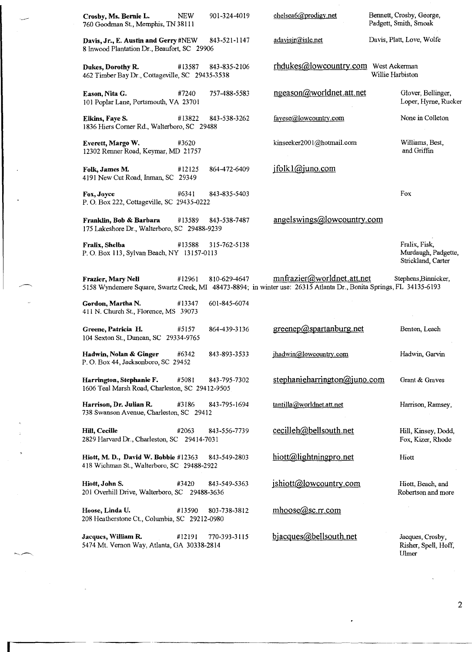| Crosby, Ms. Bernie L.<br>760 Goodman St., Memphis, TN 38111                         | NEW    | 901-324-4019 | chelsea6@prodigy.net                                                                                                                              | Bennett, Crosby, George,<br>Padgett, Smith, Smoak          |
|-------------------------------------------------------------------------------------|--------|--------------|---------------------------------------------------------------------------------------------------------------------------------------------------|------------------------------------------------------------|
| Davis, Jr., E. Austin and Gerry #NEW<br>8 Inwood Plantation Dr., Beaufort, SC 29906 |        | 843-521-1147 | adavisir@islc.net                                                                                                                                 | Davis, Platt, Love, Wolfe                                  |
| Dukes, Dorothy R.<br>462 Timber Bay Dr., Cottageville, SC 29435-3538                | #13587 | 843-835-2106 | rhdukes@lowcountry.com West Ackerman                                                                                                              | Willie Harbiston                                           |
| Eason, Nita G.<br>101 Poplar Lane, Portsmouth, VA 23701                             | #7240  | 757-488-5583 | ngeason@worldnet.att.net                                                                                                                          | Glover, Bellinger,<br>Loper, Hyrne, Rucker                 |
| Elkins, Faye S.<br>1836 Hiers Corner Rd., Walterboro, SC 29488                      | #13822 | 843-538-3262 | fayese@lowcountry.com                                                                                                                             | None in Colleton                                           |
| Everett, Margo W.<br>12302 Renner Road, Keymar, MD 21757                            | #3620  |              | kinseeker2001@hotmail.com                                                                                                                         | Williams, Best,<br>and Griffin                             |
| Folk, James M.<br>4191 New Cut Road, Inman, SC 29349                                | #12125 | 864-472-6409 | jfolk1@juno.com                                                                                                                                   |                                                            |
| Fox, Joyce<br>P. O. Box 222, Cottageville, SC 29435-0222                            | #6341  | 843-835-5403 |                                                                                                                                                   | Fox                                                        |
| Franklin, Bob & Barbara<br>175 Lakeshore Dr., Walterboro, SC 29488-9239             | #13589 | 843-538-7487 | angelswings@lowcountry.com                                                                                                                        |                                                            |
| Fralix, Shelba<br>P. O. Box 113, Sylvan Beach, NY 13157-0113                        | #13588 | 315-762-5138 |                                                                                                                                                   | Fralix, Fisk,<br>Murdaugh, Padgette,<br>Strickland, Carter |
| Frazier, Mary Nell                                                                  | #12961 | 810-629-4647 | mnfrazier@worldnet.att.net<br>5158 Wyndemere Square, Swartz Creek, MI 48473-8894; in winter use: 26315 Atlanta Dr., Bonita Springs, FL 34135-6193 | Stephens, Binnicker,                                       |
| Gordon, Martha N.<br>411 N. Church St., Florence, MS 39073                          | #13347 | 601-845-6074 |                                                                                                                                                   |                                                            |
| Greene, Patricia H.<br>104 Sexton St., Duncan, SC 29334-9765                        | #5157  | 864-439-3136 | greenep@spartanburg.net                                                                                                                           | Benton, Leach                                              |
| Hadwin, Nolan & Ginger<br>P.O. Box 44, Jacksonboro, SC 29452                        | #6342  | 843-893-3533 | ihadwin@lowcountry.com                                                                                                                            | Hadwin, Garvin                                             |
| Harrington, Stephanie F.<br>1606 Teal Marsh Road, Charleston, SC 29412-9505         | #5081  | 843-795-7302 | stephanieharrington@juno.com                                                                                                                      | Grant & Graves                                             |
| Harrison, Dr. Julian R.<br>738 Swanson Avenue, Charleston, SC 29412                 | #3186  | 843-795-1694 | tantilla@worldnet.att.net                                                                                                                         | Harrison, Ramsey,                                          |
| Hill, Cecille<br>2829 Harvard Dr., Charleston, SC 29414-7031                        | #2063  | 843-556-7739 | cecilleh@bellsouth.net                                                                                                                            | Hill, Kinsey, Dodd,<br>Fox, Kizer, Rhode                   |
| Hiott, M. D., David W. Bobbie #12363<br>418 Wichman St., Walterboro, SC 29488-2922  |        | 843-549-2803 | hiott@lightningpro.net                                                                                                                            | Hiott                                                      |
| Hiott, John S.<br>201 Overhill Drive, Walterboro, SC 29488-3636                     | #3420  | 843-549-5363 | ishiott@lowcountry.com                                                                                                                            | Hiott, Beach, and<br>Robertson and more                    |
| Hoose, Linda U.<br>208 Heatherstone Ct., Columbia, SC 29212-0980                    | #13590 | 803-738-3812 | mhoose@sc.rr.com                                                                                                                                  |                                                            |
| Jacques, William R.<br>5474 Mt. Vernon Way, Atlanta, GA 30338-2814                  | #12191 | 770-393-3115 | bjacques@bellsouth.net                                                                                                                            | Jacques, Crosby,<br>Risher, Spell, Hoff,<br>Ulmer          |

------- ------------------------ ------- -----------

.

2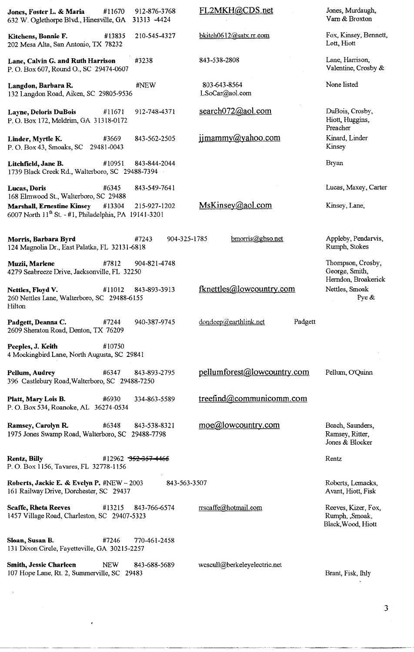| Jones, Foster L. & Maria<br>#11670<br>632 W. Oglethorpe Blvd., Hinesville, GA                                                                             | 912-876-3768<br>31313 - 4424    | FL2MKH@CDS.net                   | Jones, Murdaugh,<br>Varn & Broxton                          |
|-----------------------------------------------------------------------------------------------------------------------------------------------------------|---------------------------------|----------------------------------|-------------------------------------------------------------|
| Kitchens, Bonnie F.<br>#13835<br>202 Mesa Alta, San Antonio, TX 78232                                                                                     | 210-545-4327                    | bkitch0612@satx.rr.com           | Fox, Kinsey, Bennett,<br>Lott, Hiott                        |
| Lane, Calvin G. and Ruth Harrison<br>P. O. Box 607, Round O., SC 29474-0607                                                                               | #3238                           | 843-538-2808                     | Lane, Harrison,<br>Valentine, Crosby &                      |
| Langdon, Barbara R.<br>132 Langdon Road, Aiken, SC 29805-9536                                                                                             | #NEW                            | 803-643-8564<br>LSoCar@aol.com   | None listed                                                 |
| Layne, Deloris DuBois<br>#11671<br>P. O. Box 172, Meldrim, GA 31318-0172                                                                                  | 912-748-4371                    | search072@aol.com                | DuBois, Crosby,<br>Hiott, Huggins,<br>Preacher              |
| #3669<br>Linder, Myrtle K.<br>P. O. Box 43, Smoaks, SC 29481-0043                                                                                         | 843-562-2505                    | jimammy@yahoo.com                | Kinard, Linder<br>Kinsey                                    |
| #10951<br>Litchfield, Jane B.<br>1739 Black Creek Rd., Walterboro, SC 29488-7394                                                                          | 843-844-2044                    |                                  | Bryan                                                       |
| #6345<br>Lucas, Doris                                                                                                                                     | 843-549-7641                    |                                  | Lucas, Maxey, Carter                                        |
| 168 Elmwood St., Walterboro, SC 29488<br><b>Marshall, Ernestine Kinsey</b><br>#13304<br>6007 North 11 <sup>th</sup> St. - #1, Philadelphia, PA 19141-3201 | 215-927-1202                    | MsKinsey@aol.com                 | Kinsey, Lane,                                               |
| Morris, Barbara Byrd<br>124 Magnolia Dr., East Palatka, FL 32131-6818                                                                                     | 904-325-1785<br>#7243           | $b$ morris $@$ gbso.net          | Appleby, Pendarvis,<br>Rumph, Stokes                        |
| #7812<br>Muzii, Marlene<br>4279 Seabreeze Drive, Jacksonville, FL 32250                                                                                   | 904-821-4748                    |                                  | Thompson, Crosby,<br>George, Smith,<br>Herndon, Broakerick  |
| Nettles, Floyd V.<br>#11012<br>260 Nettles Lane, Walterboro, SC 29488-6155<br>Hilton                                                                      | 843-893-3913                    | fknettles@lowcountry.com         | Nettles, Smoak<br>Pye &                                     |
| Padgett, Deanna C.<br>#7244<br>2609 Sheraton Road, Denton, TX 76209                                                                                       | 940-387-9745                    | dondeep@earthlink.net<br>Padgett |                                                             |
| #10750<br>Peeples, J. Keith<br>4 Mockingbird Lane, North Augusta, SC 29841                                                                                |                                 |                                  |                                                             |
| Pellum, Audrey<br>#6347<br>396 Castlebury Road, Walterboro, SC 29488-7250                                                                                 | 843-893-2795                    | pellumforest@lowcountry.com      | Pellum, O'Quinn                                             |
| Platt, Mary Lois B.<br>#6930<br>P. O. Box 534, Roanoke, AL 36274-0534                                                                                     | 334-863-5589                    | treefind@communicomm.com         |                                                             |
| Ramsey, Carolyn R.<br>#6348<br>1975 Jones Swamp Road, Walterboro, SC                                                                                      | 843-538-8321<br>29488-7798      | moe@lowcountry.com               | Beach, Saunders,<br>Ramsey, Ritter,<br>Jones & Blocker      |
| Rentz, Billy<br>P. O. Box 1156, Tavares, FL 32778-1156                                                                                                    | #12962 <del>352-357-446</del> 5 |                                  | Rentz                                                       |
| Roberts, Jackie E. & Evelyn P. #NEW - 2003<br>161 Railway Drive, Dorchester, SC 29437                                                                     | 843-563-3507                    |                                  | Roberts, Lemacks,<br>Avant, Hiott, Fisk                     |
| <b>Scaffe, Rheta Reeves</b><br>#13215<br>1457 Village Road, Charleston, SC 29407-5323                                                                     | 843-766-6574                    | rrscaffe@hotmail.com             | Reeves, Kizer, Fox,<br>Rumph, ,Smoak,<br>Black, Wood, Hiott |
| Sloan, Susan B.<br>#7246<br>131 Dixon Circle, Fayetteville, GA 30215-2257                                                                                 | 770-461-2458                    |                                  |                                                             |
| <b>Smith, Jessie Charleen</b><br><b>NEW</b><br>107 Hope Lane, Rt. 2, Summerville, SC 29483                                                                | 843-688-5689                    | wcscull@berkeleyelectric.net     | Brant, Fisk, Ihly                                           |

3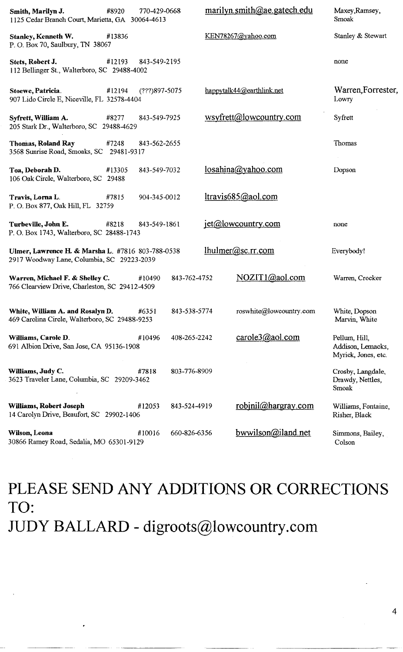| Smith, Marilyn J.<br>#8920<br>1125 Cedar Branch Court, Marietta, GA 30064-4613                  | 770-429-0668    |              | marilyn.smith@ae.gatech.edu | Maxey, Ramsey,<br>Smoak                                   |
|-------------------------------------------------------------------------------------------------|-----------------|--------------|-----------------------------|-----------------------------------------------------------|
| Stanley, Kenneth W.<br>#13836<br>P. O. Box 70, Saulbury, TN 38067                               |                 |              | KEN78267@vahoo.com          | Stanley & Stewart                                         |
| #12193<br>Stets, Robert J.<br>112 Bellinger St., Walterboro, SC 29488-4002                      | 843-549-2195    |              |                             | none                                                      |
| Stoewe, Patricia.<br>#12194<br>907 Lido Circle E, Niceville, FL 32578-4404                      | $(???)897-5075$ |              | happytalk44@earthlink.net   | Warren, Forrester,<br>Lowry                               |
| Syfrett, William A.<br>#8277<br>205 Stark Dr., Walterboro, SC 29488-4629                        | 843-549-7925    |              | wsyfrett@lowcountry.com     | Syfrett                                                   |
| Thomas, Roland Ray<br>#7248<br>3568 Sunrise Road, Smoaks, SC 29481-9317                         | 843-562-2655    |              |                             | Thomas                                                    |
| Toa, Deborah D.<br>#13305<br>106 Oak Circle, Walterboro, SC 29488                               | 843-549-7032    |              | losahina@yahoo.com          | Dopson                                                    |
| Travis, Lorna L.<br>#7815<br>P. O. Box 877, Oak Hill, FL 32759                                  | 904-345-0012    |              | ltravis685@aol.com          |                                                           |
| Turbeville, John E.<br>#8218<br>P. O. Box 1743, Walterboro, SC 28488-1743                       | 843-549-1861    |              | jet@lowcountry.com          | none                                                      |
| Ulmer, Lawrence H. & Marsha L. #7816 803-788-0538<br>2917 Woodway Lane, Columbia, SC 29223-2039 |                 |              | lhulmer@sc.rr.com           | Everybody!                                                |
| Warren, Michael F. & Shelley C.<br>766 Clearview Drive, Charleston, SC 29412-4509               | #10490          | 843-762-4752 | NOZIT1@aol.com              | Warren, Crocker                                           |
| White, William A. and Rosalyn D.<br>469 Carolina Circle, Walterboro, SC 29488-9253              | #6351           | 843-538-5774 | roswhite@lowcountry.com     | White, Dopson<br>Marvin, White                            |
| Williams, Carole D.<br>691 Albion Drive, San Jose, CA 95136-1908                                | #10496          | 408-265-2242 | carole3@aol.com             | Pellum, Hill,<br>Addison, Lemacks,<br>Myrick, Jones, etc. |
| Williams, Judy C.<br>3623 Traveler Lane, Columbia, SC 29209-3462                                | #7818           | 803-776-8909 |                             | Crosby, Langdale,<br>Drawdy, Nettles,<br>Smoak            |
| Williams, Robert Joseph<br>14 Carolyn Drive, Beaufort, SC 29902-1406                            | #12053          | 843-524-4919 | robinil@hargray.com         | Williams, Fontaine,<br>Risher, Black                      |
| Wilson, Leona<br>30866 Ramey Road, Sedalia, MO 65301-9129                                       | #10016          | 660-826-6356 | bwwilson@iland.net          | Simmons, Bailey,<br>Colson                                |

**PLEASE SEND ANY ADDITIONS OR CORRECTIONS TO: JUDY BALLARD - digroots@lowcountry.com**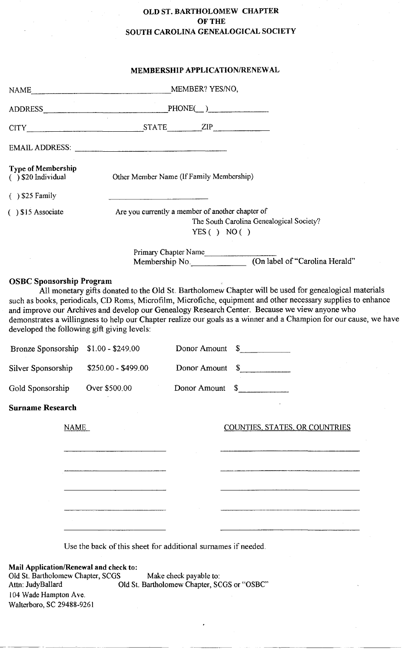#### OLD ST. BARTHOLOMEW CHAPTER OF THE SOUTH CAROLINA GENEALOGICAL SOCIETY

|                                                                                                                           | <b>MEMBERSHIP APPLICATION/RENEWAL</b>                                                                                                                                                                                                                                                                                                                                                                                                                                                     |
|---------------------------------------------------------------------------------------------------------------------------|-------------------------------------------------------------------------------------------------------------------------------------------------------------------------------------------------------------------------------------------------------------------------------------------------------------------------------------------------------------------------------------------------------------------------------------------------------------------------------------------|
|                                                                                                                           |                                                                                                                                                                                                                                                                                                                                                                                                                                                                                           |
|                                                                                                                           | ADDRESS PHONE( )                                                                                                                                                                                                                                                                                                                                                                                                                                                                          |
|                                                                                                                           | CITY STATE ZIP                                                                                                                                                                                                                                                                                                                                                                                                                                                                            |
|                                                                                                                           | EMAIL ADDRESS:                                                                                                                                                                                                                                                                                                                                                                                                                                                                            |
| <b>Type of Membership</b><br>$( )$ \$20 Individual                                                                        | Other Member Name (If Family Membership)                                                                                                                                                                                                                                                                                                                                                                                                                                                  |
| $( )$ \$25 Family                                                                                                         |                                                                                                                                                                                                                                                                                                                                                                                                                                                                                           |
| $( )$ \$15 Associate                                                                                                      | Are you currently a member of another chapter of<br>The South Carolina Genealogical Society?<br>YES() NO()                                                                                                                                                                                                                                                                                                                                                                                |
|                                                                                                                           | Primary Chapter Name<br>Membership No. (On label of "Carolina Herald"                                                                                                                                                                                                                                                                                                                                                                                                                     |
| Silver Sponsorship                                                                                                        | such as books, periodicals, CD Roms, Microfilm, Microfiche, equipment and other necessary supplies to enhance<br>and improve our Archives and develop our Genealogy Research Center. Because we view anyone who<br>demonstrates a willingness to help our Chapter realize our goals as a winner and a Champion for our cause, we have<br>developed the following gift giving levels:<br>Donor Amount \$<br>Bronze Sponsorship \$1.00 - \$249.00<br>Donor Amount \$<br>\$250.00 - \$499.00 |
| Gold Sponsorship                                                                                                          | Donor Amount \$<br>Over \$500.00                                                                                                                                                                                                                                                                                                                                                                                                                                                          |
| <b>Surname Research</b>                                                                                                   |                                                                                                                                                                                                                                                                                                                                                                                                                                                                                           |
| <b>NAME</b>                                                                                                               | COUNTIES, STATES, OR COUNTRIES                                                                                                                                                                                                                                                                                                                                                                                                                                                            |
|                                                                                                                           | Use the back of this sheet for additional surnames if needed.                                                                                                                                                                                                                                                                                                                                                                                                                             |
| Mail Application/Renewal and check to:<br>Old St. Bartholomew Chapter, SCGS<br>Attn: JudyBallard<br>104 Wade Hampton Ave. | Make check payable to:<br>Old St. Bartholomew Chapter, SCGS or "OSBC"                                                                                                                                                                                                                                                                                                                                                                                                                     |

Walterboro, SC 29488-9261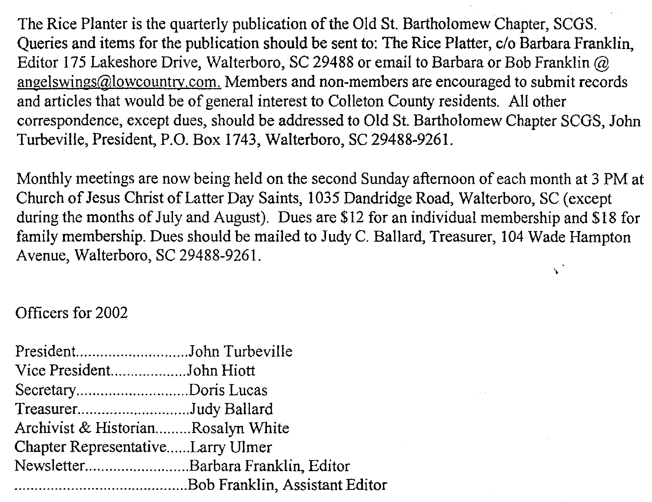The Rice Planter is the quarterly publication of the Old St. Bartholomew Chapter, SCGS. Queries and items for the publication should be sent to: The Rice Platter, c/o Barbara Franklin, Editor 175 Lakeshore Drive, Walterboro, SC 29488 or email to Barbara or Bob Franklin @ angelswings@lowcountry.com, Members and non-members are encouraged to submit records and articles that would be of general interest to Colleton County residents. All other correspondence, except dues, should be addressed to Old St. Bartholomew Chapter SCGS, John Turbeville, President, P.o. Box 1743, Walterboro, SC 29488-9261.

Monthly meetings are now being held on the second Sunday afternoon of each month at 3 PM at Church of Jesus Christ of Latter Day Saints, 1035 Dandridge Road, Walterboro, SC (except during the months of July and August). Dues are \$12 for an individual membership and \$18 for family membership. Dues should be mailed to Judy C. Ballard, Treasurer, 104 Wade Hampton Avenue, Walterboro, SC 29488-9261, .,

## Officers for 2002

| Vice PresidentJohn Hiott           |  |
|------------------------------------|--|
| SecretaryDoris Lucas               |  |
| TreasurerJudy Ballard              |  |
| Archivist & HistorianRosalyn White |  |
| Chapter RepresentativeLarry Ulmer  |  |
| NewsletterBarbara Franklin, Editor |  |
|                                    |  |